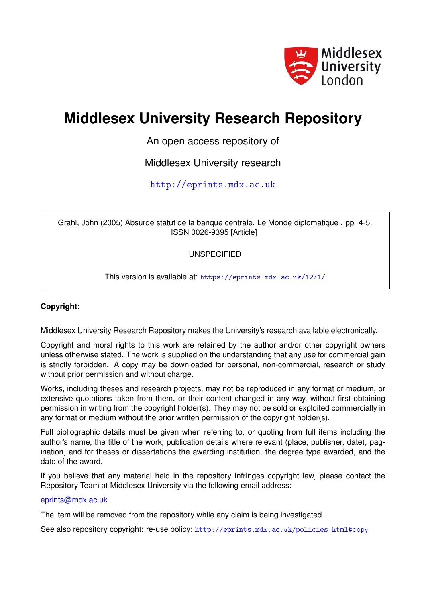

## **Middlesex University Research Repository**

An open access repository of

Middlesex University research

<http://eprints.mdx.ac.uk>

Grahl, John (2005) Absurde statut de la banque centrale. Le Monde diplomatique . pp. 4-5. ISSN 0026-9395 [Article]

UNSPECIFIED

This version is available at: <https://eprints.mdx.ac.uk/1271/>

### **Copyright:**

Middlesex University Research Repository makes the University's research available electronically.

Copyright and moral rights to this work are retained by the author and/or other copyright owners unless otherwise stated. The work is supplied on the understanding that any use for commercial gain is strictly forbidden. A copy may be downloaded for personal, non-commercial, research or study without prior permission and without charge.

Works, including theses and research projects, may not be reproduced in any format or medium, or extensive quotations taken from them, or their content changed in any way, without first obtaining permission in writing from the copyright holder(s). They may not be sold or exploited commercially in any format or medium without the prior written permission of the copyright holder(s).

Full bibliographic details must be given when referring to, or quoting from full items including the author's name, the title of the work, publication details where relevant (place, publisher, date), pagination, and for theses or dissertations the awarding institution, the degree type awarded, and the date of the award.

If you believe that any material held in the repository infringes copyright law, please contact the Repository Team at Middlesex University via the following email address:

#### [eprints@mdx.ac.uk](mailto:eprints@mdx.ac.uk)

The item will be removed from the repository while any claim is being investigated.

See also repository copyright: re-use policy: <http://eprints.mdx.ac.uk/policies.html#copy>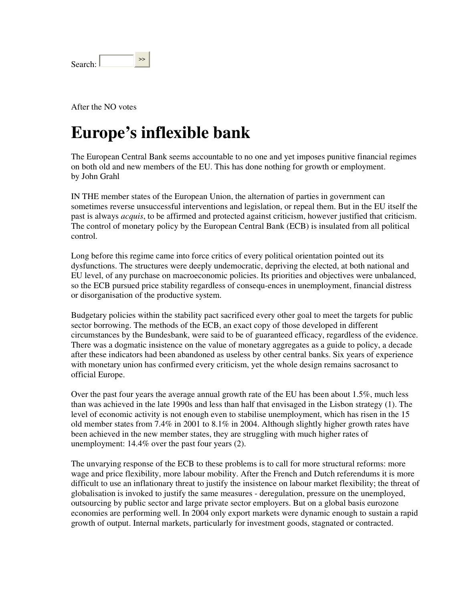| Search <sup>.</sup> |  |
|---------------------|--|
|                     |  |

After the NO votes

# **Europe's inflexible bank**

The European Central Bank seems accountable to no one and yet imposes punitive financial regimes on both old and new members of the EU. This has done nothing for growth or employment. by John Grahl

IN THE member states of the European Union, the alternation of parties in government can sometimes reverse unsuccessful interventions and legislation, or repeal them. But in the EU itself the past is always *acquis*, to be affirmed and protected against criticism, however justified that criticism. The control of monetary policy by the European Central Bank (ECB) is insulated from all political control.

Long before this regime came into force critics of every political orientation pointed out its dysfunctions. The structures were deeply undemocratic, depriving the elected, at both national and EU level, of any purchase on macroeconomic policies. Its priorities and objectives were unbalanced, so the ECB pursued price stability regardless of consequ-ences in unemployment, financial distress or disorganisation of the productive system.

Budgetary policies within the stability pact sacrificed every other goal to meet the targets for public sector borrowing. The methods of the ECB, an exact copy of those developed in different circumstances by the Bundesbank, were said to be of guaranteed efficacy, regardless of the evidence. There was a dogmatic insistence on the value of monetary aggregates as a guide to policy, a decade after these indicators had been abandoned as useless by other central banks. Six years of experience with monetary union has confirmed every criticism, yet the whole design remains sacrosanct to official Europe.

Over the past four years the average annual growth rate of the EU has been about 1.5%, much less than was achieved in the late 1990s and less than half that envisaged in the Lisbon strategy (1). The level of economic activity is not enough even to stabilise unemployment, which has risen in the 15 old member states from 7.4% in 2001 to 8.1% in 2004. Although slightly higher growth rates have been achieved in the new member states, they are struggling with much higher rates of unemployment: 14.4% over the past four years (2).

The unvarying response of the ECB to these problems is to call for more structural reforms: more wage and price flexibility, more labour mobility. After the French and Dutch referendums it is more difficult to use an inflationary threat to justify the insistence on labour market flexibility; the threat of globalisation is invoked to justify the same measures - deregulation, pressure on the unemployed, outsourcing by public sector and large private sector employers. But on a global basis eurozone economies are performing well. In 2004 only export markets were dynamic enough to sustain a rapid growth of output. Internal markets, particularly for investment goods, stagnated or contracted.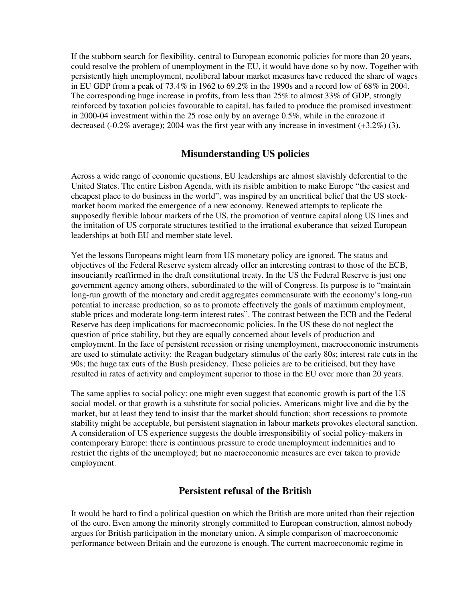If the stubborn search for flexibility, central to European economic policies for more than 20 years, could resolve the problem of unemployment in the EU, it would have done so by now. Together with persistently high unemployment, neoliberal labour market measures have reduced the share of wages in EU GDP from a peak of 73.4% in 1962 to 69.2% in the 1990s and a record low of 68% in 2004. The corresponding huge increase in profits, from less than 25% to almost 33% of GDP, strongly reinforced by taxation policies favourable to capital, has failed to produce the promised investment: in 2000-04 investment within the 25 rose only by an average 0.5%, while in the eurozone it decreased  $(-0.2\%$  average); 2004 was the first year with any increase in investment  $(+3.2\%)$  (3).

### **Misunderstanding US policies**

Across a wide range of economic questions, EU leaderships are almost slavishly deferential to the United States. The entire Lisbon Agenda, with its risible ambition to make Europe "the easiest and cheapest place to do business in the world", was inspired by an uncritical belief that the US stockmarket boom marked the emergence of a new economy. Renewed attempts to replicate the supposedly flexible labour markets of the US, the promotion of venture capital along US lines and the imitation of US corporate structures testified to the irrational exuberance that seized European leaderships at both EU and member state level.

Yet the lessons Europeans might learn from US monetary policy are ignored. The status and objectives of the Federal Reserve system already offer an interesting contrast to those of the ECB, insouciantly reaffirmed in the draft constitutional treaty. In the US the Federal Reserve is just one government agency among others, subordinated to the will of Congress. Its purpose is to "maintain long-run growth of the monetary and credit aggregates commensurate with the economy's long-run potential to increase production, so as to promote effectively the goals of maximum employment, stable prices and moderate long-term interest rates". The contrast between the ECB and the Federal Reserve has deep implications for macroeconomic policies. In the US these do not neglect the question of price stability, but they are equally concerned about levels of production and employment. In the face of persistent recession or rising unemployment, macroeconomic instruments are used to stimulate activity: the Reagan budgetary stimulus of the early 80s; interest rate cuts in the 90s; the huge tax cuts of the Bush presidency. These policies are to be criticised, but they have resulted in rates of activity and employment superior to those in the EU over more than 20 years.

The same applies to social policy: one might even suggest that economic growth is part of the US social model, or that growth is a substitute for social policies. Americans might live and die by the market, but at least they tend to insist that the market should function; short recessions to promote stability might be acceptable, but persistent stagnation in labour markets provokes electoral sanction. A consideration of US experience suggests the double irresponsibility of social policy-makers in contemporary Europe: there is continuous pressure to erode unemployment indemnities and to restrict the rights of the unemployed; but no macroeconomic measures are ever taken to provide employment.

### **Persistent refusal of the British**

It would be hard to find a political question on which the British are more united than their rejection of the euro. Even among the minority strongly committed to European construction, almost nobody argues for British participation in the monetary union. A simple comparison of macroeconomic performance between Britain and the eurozone is enough. The current macroeconomic regime in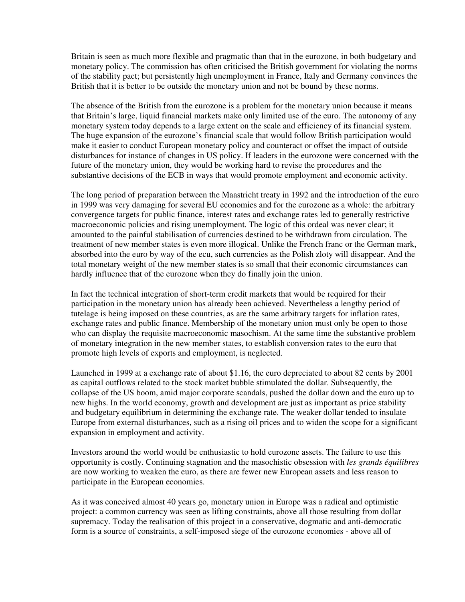Britain is seen as much more flexible and pragmatic than that in the eurozone, in both budgetary and monetary policy. The commission has often criticised the British government for violating the norms of the stability pact; but persistently high unemployment in France, Italy and Germany convinces the British that it is better to be outside the monetary union and not be bound by these norms.

The absence of the British from the eurozone is a problem for the monetary union because it means that Britain's large, liquid financial markets make only limited use of the euro. The autonomy of any monetary system today depends to a large extent on the scale and efficiency of its financial system. The huge expansion of the eurozone's financial scale that would follow British participation would make it easier to conduct European monetary policy and counteract or offset the impact of outside disturbances for instance of changes in US policy. If leaders in the eurozone were concerned with the future of the monetary union, they would be working hard to revise the procedures and the substantive decisions of the ECB in ways that would promote employment and economic activity.

The long period of preparation between the Maastricht treaty in 1992 and the introduction of the euro in 1999 was very damaging for several EU economies and for the eurozone as a whole: the arbitrary convergence targets for public finance, interest rates and exchange rates led to generally restrictive macroeconomic policies and rising unemployment. The logic of this ordeal was never clear; it amounted to the painful stabilisation of currencies destined to be withdrawn from circulation. The treatment of new member states is even more illogical. Unlike the French franc or the German mark, absorbed into the euro by way of the ecu, such currencies as the Polish zloty will disappear. And the total monetary weight of the new member states is so small that their economic circumstances can hardly influence that of the eurozone when they do finally join the union.

In fact the technical integration of short-term credit markets that would be required for their participation in the monetary union has already been achieved. Nevertheless a lengthy period of tutelage is being imposed on these countries, as are the same arbitrary targets for inflation rates, exchange rates and public finance. Membership of the monetary union must only be open to those who can display the requisite macroeconomic masochism. At the same time the substantive problem of monetary integration in the new member states, to establish conversion rates to the euro that promote high levels of exports and employment, is neglected.

Launched in 1999 at a exchange rate of about \$1.16, the euro depreciated to about 82 cents by 2001 as capital outflows related to the stock market bubble stimulated the dollar. Subsequently, the collapse of the US boom, amid major corporate scandals, pushed the dollar down and the euro up to new highs. In the world economy, growth and development are just as important as price stability and budgetary equilibrium in determining the exchange rate. The weaker dollar tended to insulate Europe from external disturbances, such as a rising oil prices and to widen the scope for a significant expansion in employment and activity.

Investors around the world would be enthusiastic to hold eurozone assets. The failure to use this opportunity is costly. Continuing stagnation and the masochistic obsession with *les grands équilibres* are now working to weaken the euro, as there are fewer new European assets and less reason to participate in the European economies.

As it was conceived almost 40 years go, monetary union in Europe was a radical and optimistic project: a common currency was seen as lifting constraints, above all those resulting from dollar supremacy. Today the realisation of this project in a conservative, dogmatic and anti-democratic form is a source of constraints, a self-imposed siege of the eurozone economies - above all of